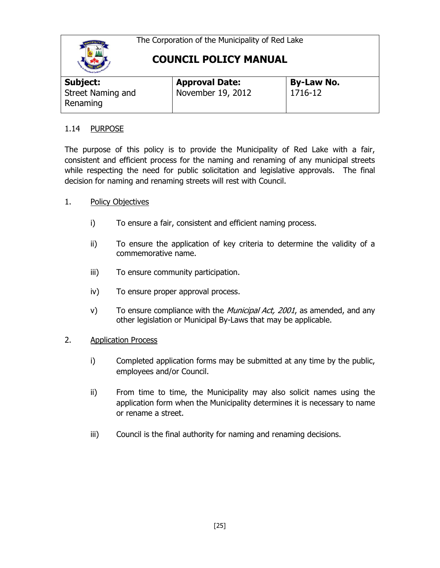

## **COUNCIL POLICY MANUAL**

| Subject:                      | <b>Approval Date:</b> | <b>By-Law No.</b> |
|-------------------------------|-----------------------|-------------------|
| Street Naming and<br>Renaming | November 19, 2012     | 1716-12           |

### 1.14 PURPOSE

The purpose of this policy is to provide the Municipality of Red Lake with a fair, consistent and efficient process for the naming and renaming of any municipal streets while respecting the need for public solicitation and legislative approvals. The final decision for naming and renaming streets will rest with Council.

### 1. Policy Objectives

- i) To ensure a fair, consistent and efficient naming process.
- ii) To ensure the application of key criteria to determine the validity of a commemorative name.
- iii) To ensure community participation.
- iv) To ensure proper approval process.
- v) To ensure compliance with the *Municipal Act, 2001*, as amended, and any other legislation or Municipal By-Laws that may be applicable.
- 2. Application Process
	- i) Completed application forms may be submitted at any time by the public, employees and/or Council.
	- ii) From time to time, the Municipality may also solicit names using the application form when the Municipality determines it is necessary to name or rename a street.
	- iii) Council is the final authority for naming and renaming decisions.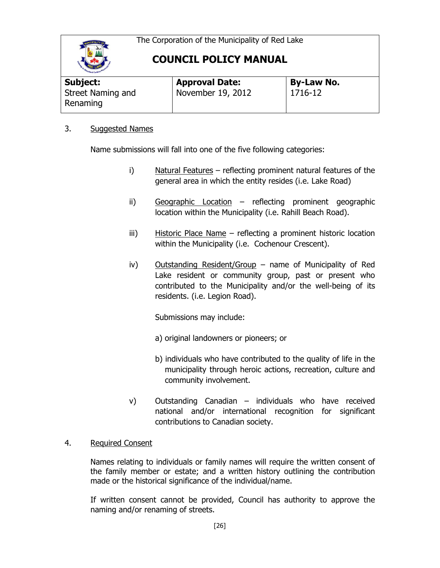

**COUNCIL POLICY MANUAL**

| Subject:                      | <b>Approval Date:</b> | <b>By-Law No.</b> |
|-------------------------------|-----------------------|-------------------|
| Street Naming and<br>Renaming | November 19, 2012     | 1716-12           |

### 3. Suggested Names

Name submissions will fall into one of the five following categories:

- i) Natural Features reflecting prominent natural features of the general area in which the entity resides (i.e. Lake Road)
- ii) Geographic Location reflecting prominent geographic location within the Municipality (i.e. Rahill Beach Road).
- iii) Historic Place Name reflecting a prominent historic location within the Municipality (i.e. Cochenour Crescent).
- iv) Outstanding Resident/Group name of Municipality of Red Lake resident or community group, past or present who contributed to the Municipality and/or the well-being of its residents. (i.e. Legion Road).

Submissions may include:

- a) original landowners or pioneers; or
- b) individuals who have contributed to the quality of life in the municipality through heroic actions, recreation, culture and community involvement.
- v) Outstanding Canadian individuals who have received national and/or international recognition for significant contributions to Canadian society.

### 4. Required Consent

Names relating to individuals or family names will require the written consent of the family member or estate; and a written history outlining the contribution made or the historical significance of the individual/name.

If written consent cannot be provided, Council has authority to approve the naming and/or renaming of streets.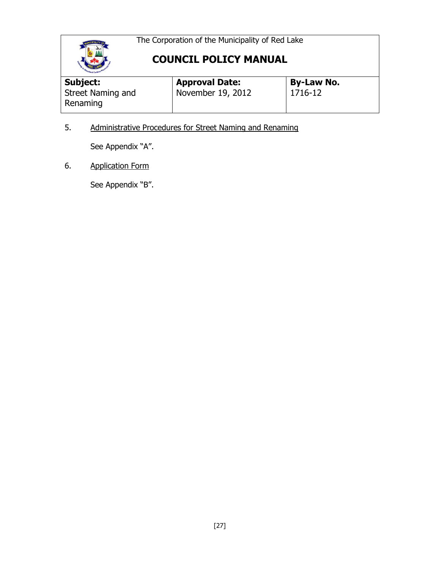

# **COUNCIL POLICY MANUAL**

| Moodland Carlhou <sup>P</sup> |                       |                   |
|-------------------------------|-----------------------|-------------------|
| Subject:                      | <b>Approval Date:</b> | <b>By-Law No.</b> |
| Street Naming and<br>Renaming | November 19, 2012     | 1716-12           |

5. Administrative Procedures for Street Naming and Renaming

See Appendix "A".

6. Application Form

See Appendix "B".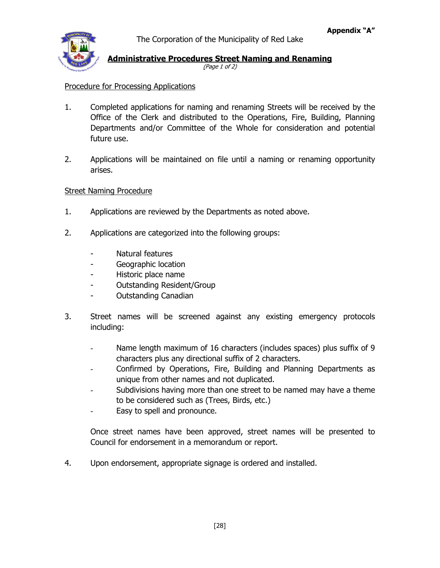### **Administrative Procedures Street Naming and Renaming**

(Page 1 of 2)

### Procedure for Processing Applications

- 1. Completed applications for naming and renaming Streets will be received by the Office of the Clerk and distributed to the Operations, Fire, Building, Planning Departments and/or Committee of the Whole for consideration and potential future use.
- 2. Applications will be maintained on file until a naming or renaming opportunity arises.

### Street Naming Procedure

- 1. Applications are reviewed by the Departments as noted above.
- 2. Applications are categorized into the following groups:
	- Natural features
	- Geographic location
	- Historic place name
	- Outstanding Resident/Group
	- Outstanding Canadian
- 3. Street names will be screened against any existing emergency protocols including:
	- Name length maximum of 16 characters (includes spaces) plus suffix of 9 characters plus any directional suffix of 2 characters.
	- Confirmed by Operations, Fire, Building and Planning Departments as unique from other names and not duplicated.
	- Subdivisions having more than one street to be named may have a theme to be considered such as (Trees, Birds, etc.)
	- Easy to spell and pronounce.

Once street names have been approved, street names will be presented to Council for endorsement in a memorandum or report.

4. Upon endorsement, appropriate signage is ordered and installed.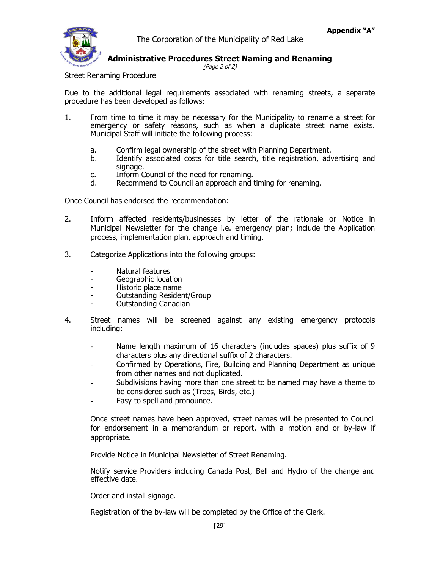### **Administrative Procedures Street Naming and Renaming**

(Page 2 of 2)

Street Renaming Procedure

Due to the additional legal requirements associated with renaming streets, a separate procedure has been developed as follows:

- 1. From time to time it may be necessary for the Municipality to rename a street for emergency or safety reasons, such as when a duplicate street name exists. Municipal Staff will initiate the following process:
	- a. Confirm legal ownership of the street with Planning Department.
	- b. Identify associated costs for title search, title registration, advertising and signage.
	- c. Inform Council of the need for renaming.<br>d. Recommend to Council an approach and t
	- Recommend to Council an approach and timing for renaming.

Once Council has endorsed the recommendation:

- 2. Inform affected residents/businesses by letter of the rationale or Notice in Municipal Newsletter for the change i.e. emergency plan; include the Application process, implementation plan, approach and timing.
- 3. Categorize Applications into the following groups:
	- Natural features
	- Geographic location
	- Historic place name
	- Outstanding Resident/Group
	- Outstanding Canadian
- 4. Street names will be screened against any existing emergency protocols including:
	- Name length maximum of 16 characters (includes spaces) plus suffix of 9 characters plus any directional suffix of 2 characters.
	- Confirmed by Operations, Fire, Building and Planning Department as unique from other names and not duplicated.
	- Subdivisions having more than one street to be named may have a theme to be considered such as (Trees, Birds, etc.)
	- Easy to spell and pronounce.

Once street names have been approved, street names will be presented to Council for endorsement in a memorandum or report, with a motion and or by-law if appropriate.

Provide Notice in Municipal Newsletter of Street Renaming.

Notify service Providers including Canada Post, Bell and Hydro of the change and effective date.

Order and install signage.

Registration of the by-law will be completed by the Office of the Clerk.